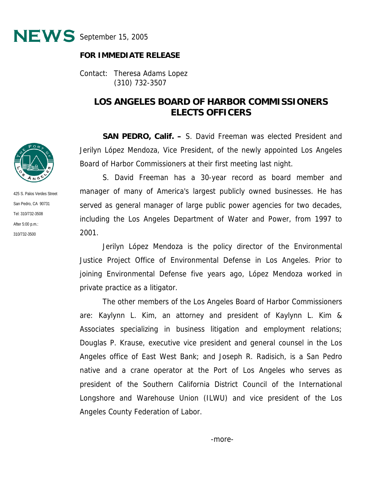

## **FOR IMMEDIATE RELEASE**

Contact: Theresa Adams Lopez (310) 732-3507

## **LOS ANGELES BOARD OF HARBOR COMMISSIONERS ELECTS OFFICERS**

**SAN PEDRO, Calif. –** S. David Freeman was elected President and Jerilyn López Mendoza, Vice President, of the newly appointed Los Angeles Board of Harbor Commissioners at their first meeting last night.

S. David Freeman has a 30-year record as board member and manager of many of America's largest publicly owned businesses. He has served as general manager of large public power agencies for two decades, including the Los Angeles Department of Water and Power, from 1997 to 2001.

Jerilyn López Mendoza is the policy director of the Environmental Justice Project Office of Environmental Defense in Los Angeles. Prior to joining Environmental Defense five years ago, López Mendoza worked in private practice as a litigator.

The other members of the Los Angeles Board of Harbor Commissioners are: Kaylynn L. Kim, an attorney and president of Kaylynn L. Kim & Associates specializing in business litigation and employment relations; Douglas P. Krause, executive vice president and general counsel in the Los Angeles office of East West Bank; and Joseph R. Radisich, is a San Pedro native and a crane operator at the Port of Los Angeles who serves as president of the Southern California District Council of the International Longshore and Warehouse Union (ILWU) and vice president of the Los Angeles County Federation of Labor.



425 S. Palos Verdes Street San Pedro, CA 90731 Tel: 310/732-3508 After 5:00 p.m.: 310/732-3500

-more-